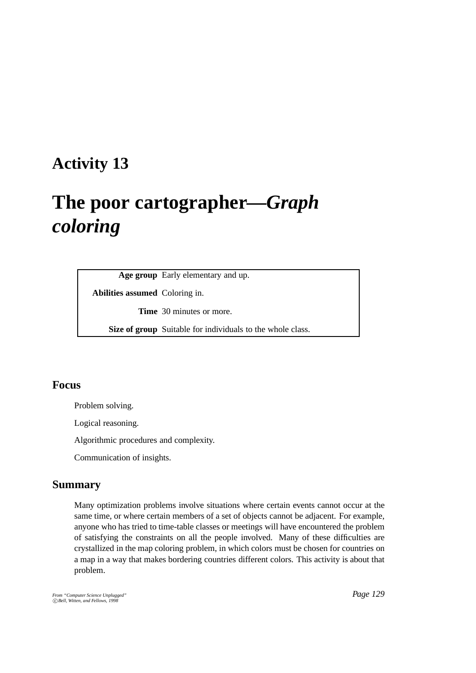# **Activity 13**

# **The poor cartographer—***Graph coloring*

**Age group** Early elementary and up.

**Abilities assumed** Coloring in.

**Time** 30 minutes or more.

**Size of group** Suitable for individuals to the whole class.

# **Focus**

Problem solving.

Logical reasoning.

Algorithmic procedures and complexity.

Communication of insights.

#### **Summary**

Many optimization problems involve situations where certain events cannot occur at the same time, or where certain members of a set of objects cannot be adjacent. For example, anyone who has tried to time-table classes or meetings will have encountered the problem of satisfying the constraints on all the people involved. Many of these difficulties are crystallized in the map coloring problem, in which colors must be chosen for countries on a map in a way that makes bordering countries different colors. This activity is about that problem.

*From "Computer Science Unplugged"* c *Bell, Witten, and Fellows, 1998*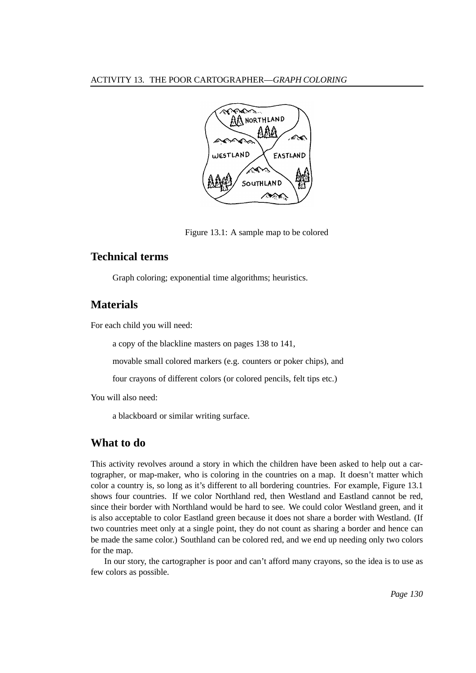

Figure 13.1: A sample map to be colored

# **Technical terms**

Graph coloring; exponential time algorithms; heuristics.

#### **Materials**

For each child you will need:

a copy of the blackline masters on pages 138 to 141,

movable small colored markers (e.g. counters or poker chips), and

four crayons of different colors (or colored pencils, felt tips etc.)

You will also need:

a blackboard or similar writing surface.

# **What to do**

This activity revolves around a story in which the children have been asked to help out a cartographer, or map-maker, who is coloring in the countries on a map. It doesn't matter which color a country is, so long as it's different to all bordering countries. For example, Figure 13.1 shows four countries. If we color Northland red, then Westland and Eastland cannot be red, since their border with Northland would be hard to see. We could color Westland green, and it is also acceptable to color Eastland green because it does not share a border with Westland. (If two countries meet only at a single point, they do not count as sharing a border and hence can be made the same color.) Southland can be colored red, and we end up needing only two colors for the map.

In our story, the cartographer is poor and can't afford many crayons, so the idea is to use as few colors as possible.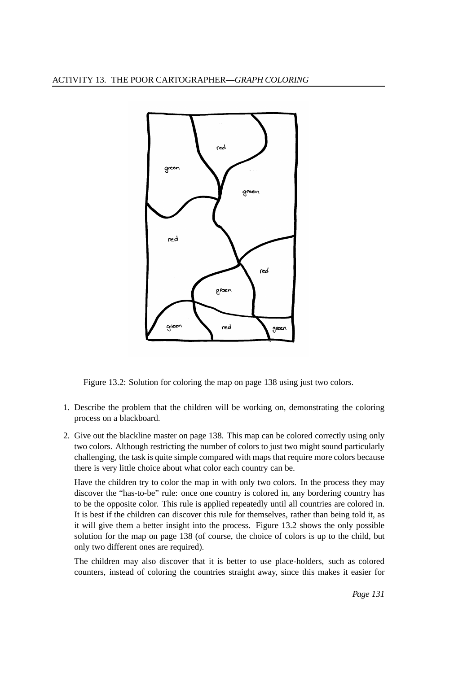

Figure 13.2: Solution for coloring the map on page 138 using just two colors.

- 1. Describe the problem that the children will be working on, demonstrating the coloring process on a blackboard.
- 2. Give out the blackline master on page 138. This map can be colored correctly using only two colors. Although restricting the number of colors to just two might sound particularly challenging, the task is quite simple compared with maps that require more colors because there is very little choice about what color each country can be.

Have the children try to color the map in with only two colors. In the process they may discover the "has-to-be" rule: once one country is colored in, any bordering country has to be the opposite color. This rule is applied repeatedly until all countries are colored in. It is best if the children can discover this rule for themselves, rather than being told it, as it will give them a better insight into the process. Figure 13.2 shows the only possible solution for the map on page 138 (of course, the choice of colors is up to the child, but only two different ones are required).

The children may also discover that it is better to use place-holders, such as colored counters, instead of coloring the countries straight away, since this makes it easier for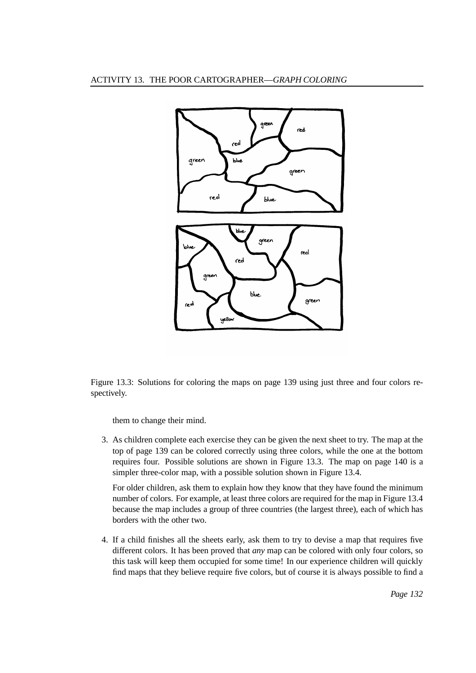

Figure 13.3: Solutions for coloring the maps on page 139 using just three and four colors respectively.

them to change their mind.

3. As children complete each exercise they can be given the next sheet to try. The map at the top of page 139 can be colored correctly using three colors, while the one at the bottom requires four. Possible solutions are shown in Figure 13.3. The map on page 140 is a simpler three-color map, with a possible solution shown in Figure 13.4.

For older children, ask them to explain how they know that they have found the minimum number of colors. For example, at least three colors are required for the map in Figure 13.4 because the map includes a group of three countries (the largest three), each of which has borders with the other two.

4. If a child finishes all the sheets early, ask them to try to devise a map that requires five different colors. It has been proved that *any* map can be colored with only four colors, so this task will keep them occupied for some time! In our experience children will quickly find maps that they believe require five colors, but of course it is always possible to find a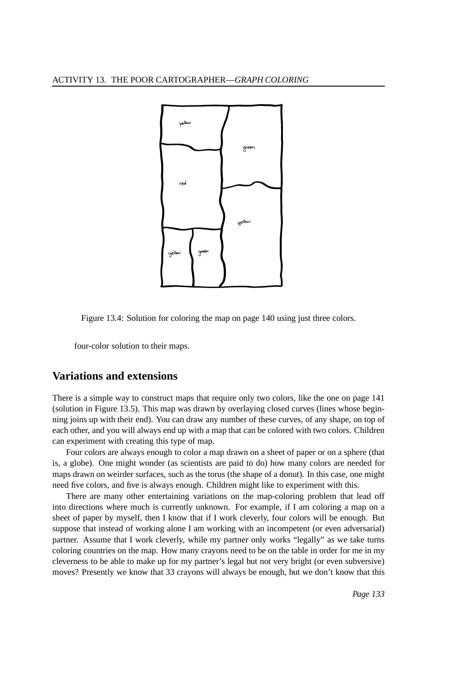

Figure 13.4: Solution for coloring the map on page 140 using just three colors.

four-color solution to their maps.

## **Variations and extensions**

There is a simple way to construct maps that require only two colors, like the one on page 141 (solution in Figure 13.5). This map was drawn by overlaying closed curves (lines whose beginning joins up with their end). You can draw any number of these curves, of any shape, on top of each other, and you will always end up with a map that can be colored with two colors. Children can experiment with creating this type of map.

Four colors are always enough to color a map drawn on a sheet of paper or on a sphere (that is, a globe). One might wonder (as scientists are paid to do) how many colors are needed for maps drawn on weirder surfaces, such as the torus (the shape of a donut). In this case, one might need five colors, and five is always enough. Children might like to experiment with this.

There are many other entertaining variations on the map-coloring problem that lead off into directions where much is currently unknown. For example, if I am coloring a map on a sheet of paper by myself, then I know that if I work cleverly, four colors will be enough. But suppose that instead of working alone I am working with an incompetent (or even adversarial) partner. Assume that I work cleverly, while my partner only works "legally" as we take turns coloring countries on the map. How many crayons need to be on the table in order for me in my cleverness to be able to make up for my partner's legal but not very bright (or even subversive) moves? Presently we know that 33 crayons will always be enough, but we don't know that this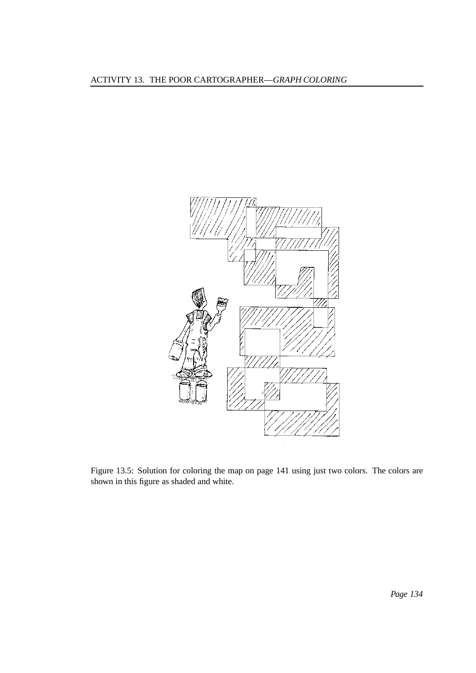

Figure 13.5: Solution for coloring the map on page 141 using just two colors. The colors are shown in this figure as shaded and white.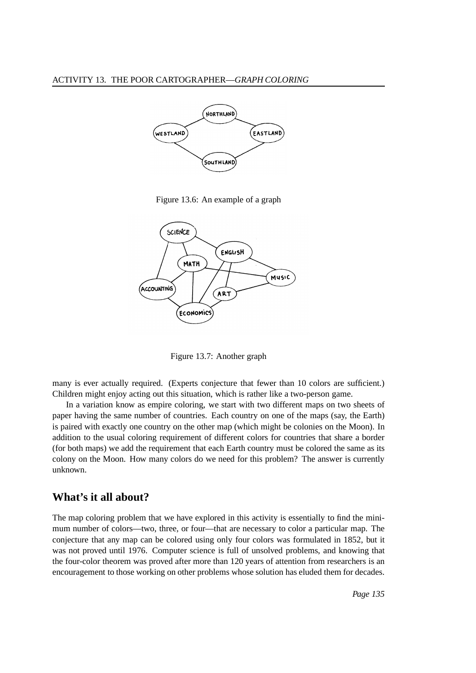

Figure 13.6: An example of a graph



Figure 13.7: Another graph

many is ever actually required. (Experts conjecture that fewer than 10 colors are sufficient.) Children might enjoy acting out this situation, which is rather like a two-person game.

In a variation know as empire coloring, we start with two different maps on two sheets of paper having the same number of countries. Each country on one of the maps (say, the Earth) is paired with exactly one country on the other map (which might be colonies on the Moon). In addition to the usual coloring requirement of different colors for countries that share a border (for both maps) we add the requirement that each Earth country must be colored the same as its colony on the Moon. How many colors do we need for this problem? The answer is currently unknown.

#### **What's it all about?**

The map coloring problem that we have explored in this activity is essentially to find the minimum number of colors—two, three, or four—that are necessary to color a particular map. The conjecture that any map can be colored using only four colors was formulated in 1852, but it was not proved until 1976. Computer science is full of unsolved problems, and knowing that the four-color theorem was proved after more than 120 years of attention from researchers is an encouragement to those working on other problems whose solution has eluded them for decades.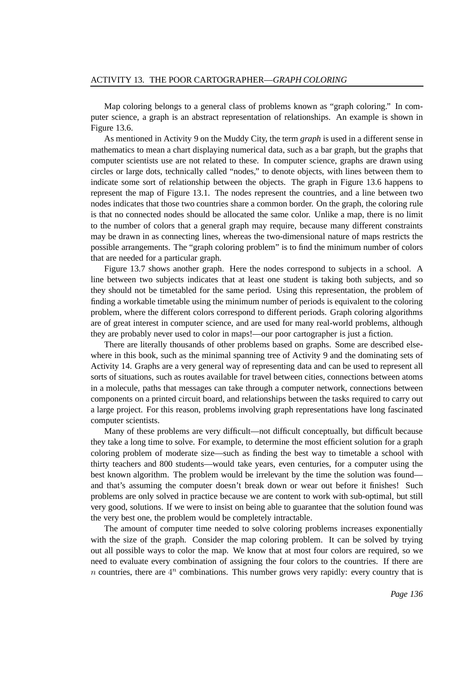Map coloring belongs to a general class of problems known as "graph coloring." In computer science, a graph is an abstract representation of relationships. An example is shown in Figure 13.6.

As mentioned in Activity 9 on the Muddy City, the term *graph* is used in a different sense in mathematics to mean a chart displaying numerical data, such as a bar graph, but the graphs that computer scientists use are not related to these. In computer science, graphs are drawn using circles or large dots, technically called "nodes," to denote objects, with lines between them to indicate some sort of relationship between the objects. The graph in Figure 13.6 happens to represent the map of Figure 13.1. The nodes represent the countries, and a line between two nodes indicates that those two countries share a common border. On the graph, the coloring rule is that no connected nodes should be allocated the same color. Unlike a map, there is no limit to the number of colors that a general graph may require, because many different constraints may be drawn in as connecting lines, whereas the two-dimensional nature of maps restricts the possible arrangements. The "graph coloring problem" is to find the minimum number of colors that are needed for a particular graph.

Figure 13.7 shows another graph. Here the nodes correspond to subjects in a school. A line between two subjects indicates that at least one student is taking both subjects, and so they should not be timetabled for the same period. Using this representation, the problem of finding a workable timetable using the minimum number of periods is equivalent to the coloring problem, where the different colors correspond to different periods. Graph coloring algorithms are of great interest in computer science, and are used for many real-world problems, although they are probably never used to color in maps!—our poor cartographer is just a fiction.

There are literally thousands of other problems based on graphs. Some are described elsewhere in this book, such as the minimal spanning tree of Activity 9 and the dominating sets of Activity 14. Graphs are a very general way of representing data and can be used to represent all sorts of situations, such as routes available for travel between cities, connections between atoms in a molecule, paths that messages can take through a computer network, connections between components on a printed circuit board, and relationships between the tasks required to carry out a large project. For this reason, problems involving graph representations have long fascinated computer scientists.

Many of these problems are very difficult—not difficult conceptually, but difficult because they take a long time to solve. For example, to determine the most efficient solution for a graph coloring problem of moderate size—such as finding the best way to timetable a school with thirty teachers and 800 students—would take years, even centuries, for a computer using the best known algorithm. The problem would be irrelevant by the time the solution was found and that's assuming the computer doesn't break down or wear out before it finishes! Such problems are only solved in practice because we are content to work with sub-optimal, but still very good, solutions. If we were to insist on being able to guarantee that the solution found was the very best one, the problem would be completely intractable.

The amount of computer time needed to solve coloring problems increases exponentially with the size of the graph. Consider the map coloring problem. It can be solved by trying out all possible ways to color the map. We know that at most four colors are required, so we need to evaluate every combination of assigning the four colors to the countries. If there are n countries, there are  $4^n$  combinations. This number grows very rapidly: every country that is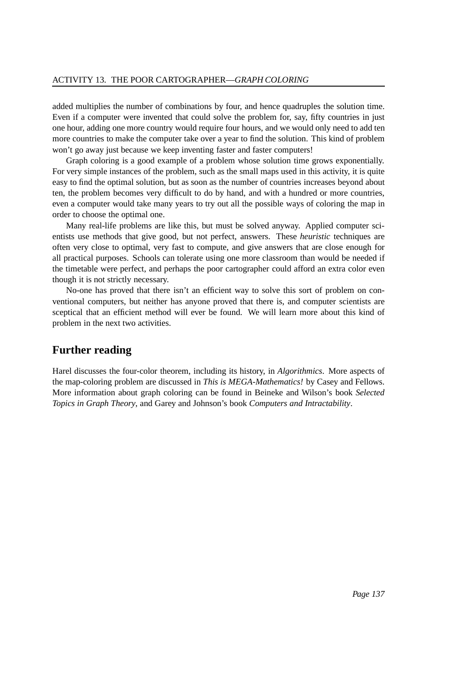added multiplies the number of combinations by four, and hence quadruples the solution time. Even if a computer were invented that could solve the problem for, say, fifty countries in just one hour, adding one more country would require four hours, and we would only need to add ten more countries to make the computer take over a year to find the solution. This kind of problem won't go away just because we keep inventing faster and faster computers!

Graph coloring is a good example of a problem whose solution time grows exponentially. For very simple instances of the problem, such as the small maps used in this activity, it is quite easy to find the optimal solution, but as soon as the number of countries increases beyond about ten, the problem becomes very difficult to do by hand, and with a hundred or more countries, even a computer would take many years to try out all the possible ways of coloring the map in order to choose the optimal one.

Many real-life problems are like this, but must be solved anyway. Applied computer scientists use methods that give good, but not perfect, answers. These *heuristic* techniques are often very close to optimal, very fast to compute, and give answers that are close enough for all practical purposes. Schools can tolerate using one more classroom than would be needed if the timetable were perfect, and perhaps the poor cartographer could afford an extra color even though it is not strictly necessary.

No-one has proved that there isn't an efficient way to solve this sort of problem on conventional computers, but neither has anyone proved that there is, and computer scientists are sceptical that an efficient method will ever be found. We will learn more about this kind of problem in the next two activities.

### **Further reading**

Harel discusses the four-color theorem, including its history, in *Algorithmics*. More aspects of the map-coloring problem are discussed in *This is MEGA-Mathematics!* by Casey and Fellows. More information about graph coloring can be found in Beineke and Wilson's book *Selected Topics in Graph Theory*, and Garey and Johnson's book *Computers and Intractability*.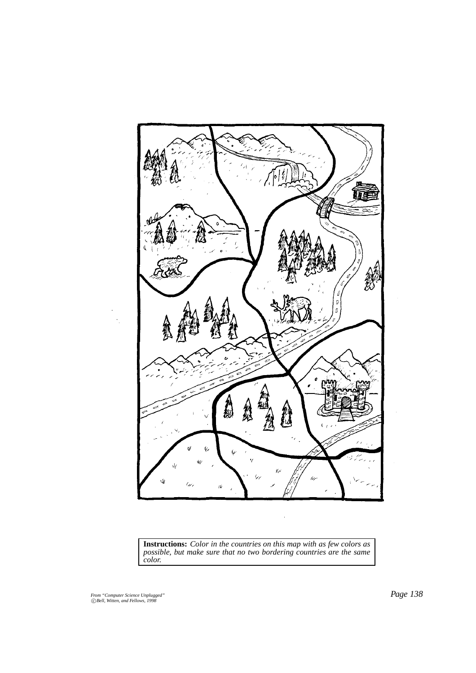

**Instructions:** *Color in the countries on this map with as few colors as possible, but make sure that no two bordering countries are the same color.*

*From "Computer Science Unplugged"* c *Bell, Witten, and Fellows, 1998*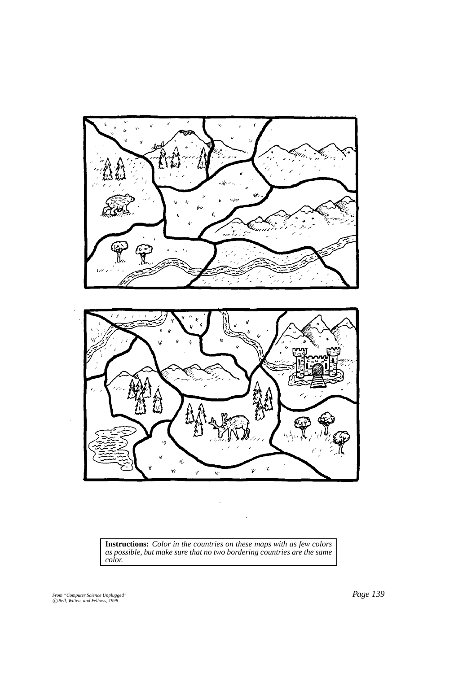

**Instructions:** *Color in the countries on these maps with as few colors as possible, but make sure that no two bordering countries are the same color.*

 $\ddot{\phantom{a}}$ 

*From "Computer Science Unplugged"* c *Bell, Witten, and Fellows, 1998*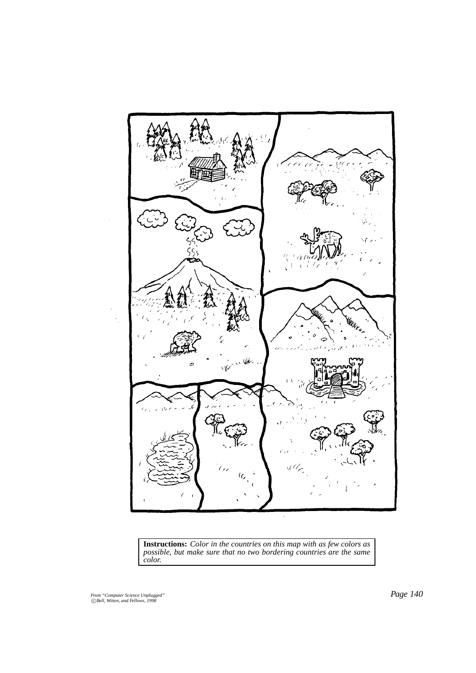

**Instructions:** *Color in the countries on this map with as few colors as possible, but make sure that no two bordering countries are the same color.*

*From "Computer Science Unplugged"* c *Bell, Witten, and Fellows, 1998*